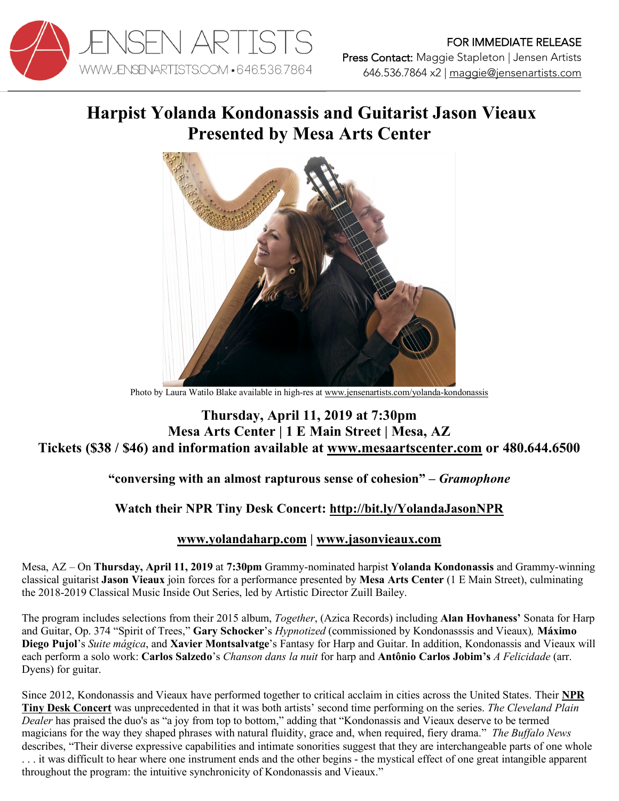

# **Harpist Yolanda Kondonassis and Guitarist Jason Vieaux Presented by Mesa Arts Center**



Photo by Laura Watilo Blake available in high-res at www.jensenartists.com/yolanda-kondonassis

#### **Thursday, April 11, 2019 at 7:30pm Mesa Arts Center | 1 E Main Street | Mesa, AZ Tickets (\$38 / \$46) and information available at www.mesaartscenter.com or 480.644.6500**

### **"conversing with an almost rapturous sense of cohesion" –** *Gramophone*

## **Watch their NPR Tiny Desk Concert: http://bit.ly/YolandaJasonNPR**

### **www.yolandaharp.com | www.jasonvieaux.com**

Mesa, AZ – On **Thursday, April 11, 2019** at **7:30pm** Grammy-nominated harpist **Yolanda Kondonassis** and Grammy-winning classical guitarist **Jason Vieaux** join forces for a performance presented by **Mesa Arts Center** (1 E Main Street), culminating the 2018-2019 Classical Music Inside Out Series, led by Artistic Director Zuill Bailey.

The program includes selections from their 2015 album, *Together*, (Azica Records) including **Alan Hovhaness'** Sonata for Harp and Guitar, Op. 374 "Spirit of Trees," **Gary Schocker**'s *Hypnotized* (commissioned by Kondonasssis and Vieaux)*,* **Máximo Diego Pujol**'s *Suite mágica*, and **Xavier Montsalvatge**'s Fantasy for Harp and Guitar. In addition, Kondonassis and Vieaux will each perform a solo work: **Carlos Salzedo**'s *Chanson dans la nuit* for harp and **Antônio Carlos Jobim's** *A Felicidade* (arr. Dyens) for guitar.

Since 2012, Kondonassis and Vieaux have performed together to critical acclaim in cities across the United States. Their **NPR Tiny Desk Concert** was unprecedented in that it was both artists' second time performing on the series. *The Cleveland Plain Dealer* has praised the duo's as "a joy from top to bottom," adding that "Kondonassis and Vieaux deserve to be termed magicians for the way they shaped phrases with natural fluidity, grace and, when required, fiery drama." *The Buffalo News*  describes, "Their diverse expressive capabilities and intimate sonorities suggest that they are interchangeable parts of one whole . . . it was difficult to hear where one instrument ends and the other begins - the mystical effect of one great intangible apparent throughout the program: the intuitive synchronicity of Kondonassis and Vieaux."